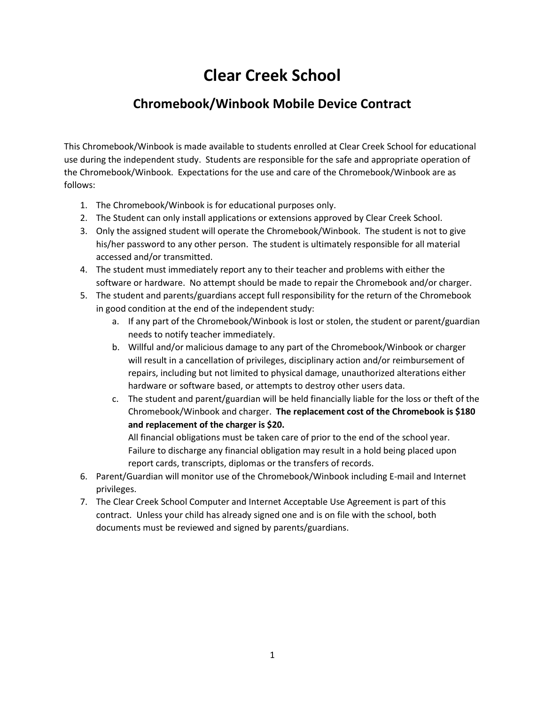# **Clear Creek School**

## **Chromebook/Winbook Mobile Device Contract**

This Chromebook/Winbook is made available to students enrolled at Clear Creek School for educational use during the independent study. Students are responsible for the safe and appropriate operation of the Chromebook/Winbook. Expectations for the use and care of the Chromebook/Winbook are as follows:

- 1. The Chromebook/Winbook is for educational purposes only.
- 2. The Student can only install applications or extensions approved by Clear Creek School.
- 3. Only the assigned student will operate the Chromebook/Winbook. The student is not to give his/her password to any other person. The student is ultimately responsible for all material accessed and/or transmitted.
- 4. The student must immediately report any to their teacher and problems with either the software or hardware. No attempt should be made to repair the Chromebook and/or charger.
- 5. The student and parents/guardians accept full responsibility for the return of the Chromebook in good condition at the end of the independent study:
	- a. If any part of the Chromebook/Winbook is lost or stolen, the student or parent/guardian needs to notify teacher immediately.
	- b. Willful and/or malicious damage to any part of the Chromebook/Winbook or charger will result in a cancellation of privileges, disciplinary action and/or reimbursement of repairs, including but not limited to physical damage, unauthorized alterations either hardware or software based, or attempts to destroy other users data.
	- c. The student and parent/guardian will be held financially liable for the loss or theft of the Chromebook/Winbook and charger. **The replacement cost of the Chromebook is \$180 and replacement of the charger is \$20.**

All financial obligations must be taken care of prior to the end of the school year. Failure to discharge any financial obligation may result in a hold being placed upon report cards, transcripts, diplomas or the transfers of records.

- 6. Parent/Guardian will monitor use of the Chromebook/Winbook including E-mail and Internet privileges.
- 7. The Clear Creek School Computer and Internet Acceptable Use Agreement is part of this contract. Unless your child has already signed one and is on file with the school, both documents must be reviewed and signed by parents/guardians.